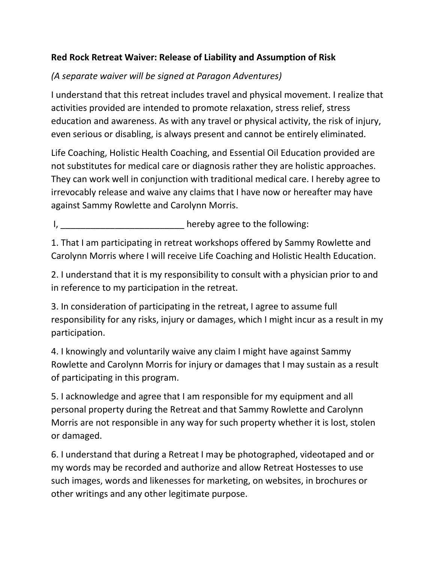## **Red Rock Retreat Waiver: Release of Liability and Assumption of Risk**

## *(A separate waiver will be signed at Paragon Adventures)*

I understand that this retreat includes travel and physical movement. I realize that activities provided are intended to promote relaxation, stress relief, stress education and awareness. As with any travel or physical activity, the risk of injury, even serious or disabling, is always present and cannot be entirely eliminated.

Life Coaching, Holistic Health Coaching, and Essential Oil Education provided are not substitutes for medical care or diagnosis rather they are holistic approaches. They can work well in conjunction with traditional medical care. I hereby agree to irrevocably release and waive any claims that I have now or hereafter may have against Sammy Rowlette and Carolynn Morris.

I, the contract of the following:

1. That I am participating in retreat workshops offered by Sammy Rowlette and Carolynn Morris where I will receive Life Coaching and Holistic Health Education.

2. I understand that it is my responsibility to consult with a physician prior to and in reference to my participation in the retreat.

3. In consideration of participating in the retreat, I agree to assume full responsibility for any risks, injury or damages, which I might incur as a result in my participation.

4. I knowingly and voluntarily waive any claim I might have against Sammy Rowlette and Carolynn Morris for injury or damages that I may sustain as a result of participating in this program.

5. I acknowledge and agree that I am responsible for my equipment and all personal property during the Retreat and that Sammy Rowlette and Carolynn Morris are not responsible in any way for such property whether it is lost, stolen or damaged.

6. I understand that during a Retreat I may be photographed, videotaped and or my words may be recorded and authorize and allow Retreat Hostesses to use such images, words and likenesses for marketing, on websites, in brochures or other writings and any other legitimate purpose.